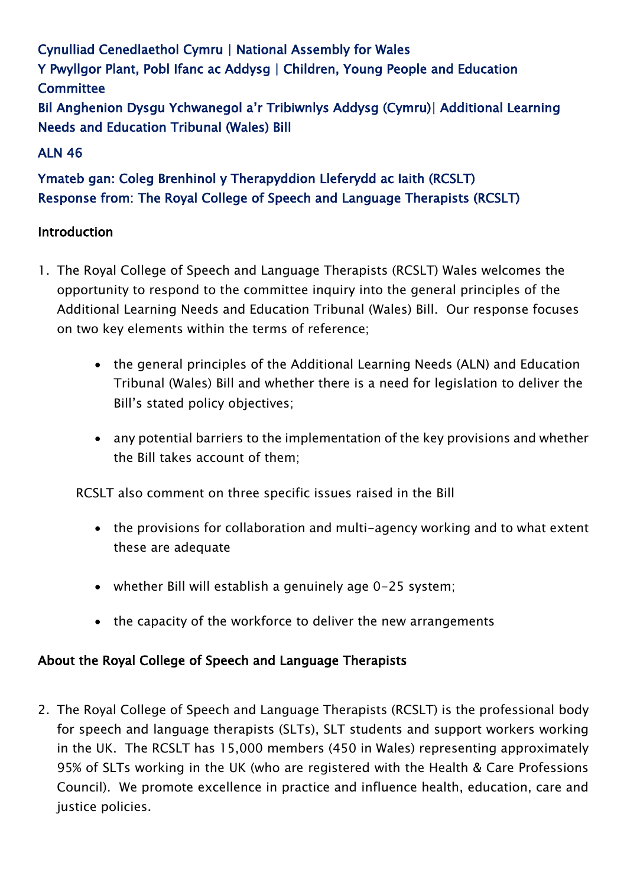Cynulliad Cenedlaethol Cymru | National Assembly for Wales Y Pwyllgor Plant, Pobl Ifanc ac Addysg | Children, Young People and Education **Committee** Bil Anghenion Dysgu Ychwanegol a'r Tribiwnlys Addysg (Cymru)| Additional Learning Needs and Education Tribunal (Wales) Bill

## ALN 46

# Ymateb gan: Coleg Brenhinol y Therapyddion Lleferydd ac Iaith (RCSLT) Response from: The Royal College of Speech and Language Therapists (RCSLT)

#### Introduction

- 1. The Royal College of Speech and Language Therapists (RCSLT) Wales welcomes the opportunity to respond to the committee inquiry into the general principles of the Additional Learning Needs and Education Tribunal (Wales) Bill. Our response focuses on two key elements within the terms of reference;
	- the general principles of the Additional Learning Needs (ALN) and Education Tribunal (Wales) Bill and whether there is a need for legislation to deliver the Bill's stated policy objectives;
	- any potential barriers to the implementation of the key provisions and whether the Bill takes account of them;

RCSLT also comment on three specific issues raised in the Bill

- the provisions for collaboration and multi-agency working and to what extent these are adequate
- whether Bill will establish a genuinely age 0-25 system;
- the capacity of the workforce to deliver the new arrangements

#### About the Royal College of Speech and Language Therapists

2. The Royal College of Speech and Language Therapists (RCSLT) is the professional body for speech and language therapists (SLTs), SLT students and support workers working in the UK. The RCSLT has 15,000 members (450 in Wales) representing approximately 95% of SLTs working in the UK (who are registered with the Health & Care Professions Council). We promote excellence in practice and influence health, education, care and justice policies.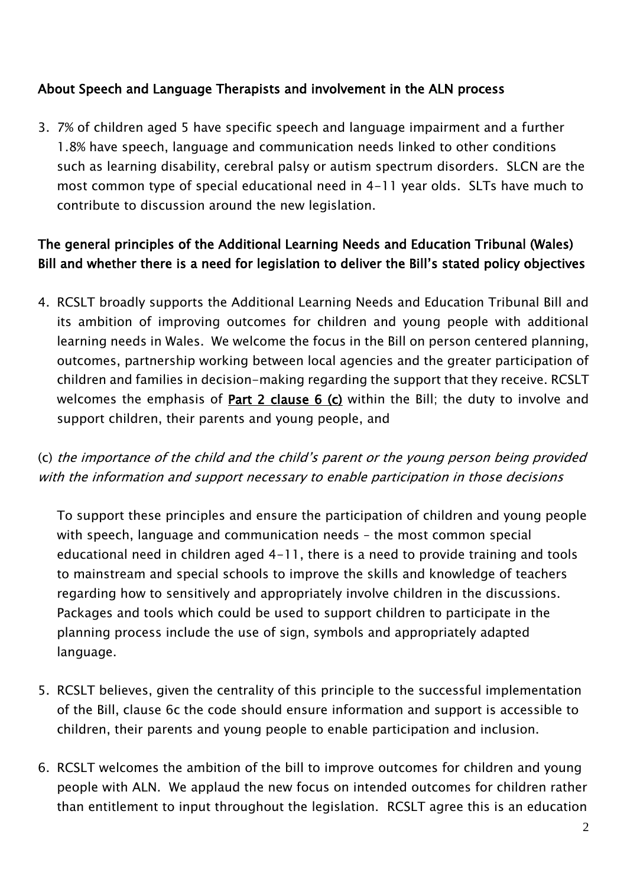### About Speech and Language Therapists and involvement in the ALN process

3. 7% of children aged 5 have specific speech and language impairment and a further 1.8% have speech, language and communication needs linked to other conditions such as learning disability, cerebral palsy or autism spectrum disorders. SLCN are the most common type of special educational need in 4-11 year olds. SLTs have much to contribute to discussion around the new legislation.

## The general principles of the Additional Learning Needs and Education Tribunal (Wales) Bill and whether there is a need for legislation to deliver the Bill's stated policy objectives

4. RCSLT broadly supports the Additional Learning Needs and Education Tribunal Bill and its ambition of improving outcomes for children and young people with additional learning needs in Wales. We welcome the focus in the Bill on person centered planning, outcomes, partnership working between local agencies and the greater participation of children and families in decision-making regarding the support that they receive. RCSLT welcomes the emphasis of Part 2 clause 6 (c) within the Bill; the duty to involve and support children, their parents and young people, and

## (c) the importance of the child and the child's parent or the young person being provided with the information and support necessary to enable participation in those decisions

To support these principles and ensure the participation of children and young people with speech, language and communication needs – the most common special educational need in children aged 4-11, there is a need to provide training and tools to mainstream and special schools to improve the skills and knowledge of teachers regarding how to sensitively and appropriately involve children in the discussions. Packages and tools which could be used to support children to participate in the planning process include the use of sign, symbols and appropriately adapted language.

- 5. RCSLT believes, given the centrality of this principle to the successful implementation of the Bill, clause 6c the code should ensure information and support is accessible to children, their parents and young people to enable participation and inclusion.
- 6. RCSLT welcomes the ambition of the bill to improve outcomes for children and young people with ALN. We applaud the new focus on intended outcomes for children rather than entitlement to input throughout the legislation. RCSLT agree this is an education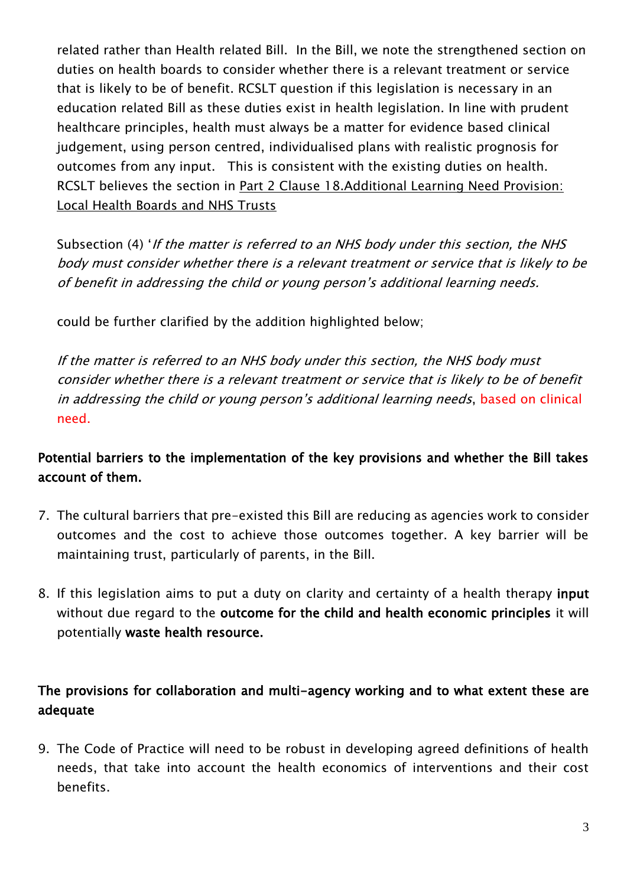related rather than Health related Bill. In the Bill, we note the strengthened section on duties on health boards to consider whether there is a relevant treatment or service that is likely to be of benefit. RCSLT question if this legislation is necessary in an education related Bill as these duties exist in health legislation. In line with prudent healthcare principles, health must always be a matter for evidence based clinical judgement, using person centred, individualised plans with realistic prognosis for outcomes from any input. This is consistent with the existing duties on health. RCSLT believes the section in Part 2 Clause 18.Additional Learning Need Provision: Local Health Boards and NHS Trusts

Subsection (4) 'If the matter is referred to an NHS body under this section, the NHS body must consider whether there is a relevant treatment or service that is likely to be of benefit in addressing the child or young person's additional learning needs.

could be further clarified by the addition highlighted below;

If the matter is referred to an NHS body under this section, the NHS body must consider whether there is a relevant treatment or service that is likely to be of benefit in addressing the child or young person's additional learning needs, based on clinical need.

## Potential barriers to the implementation of the key provisions and whether the Bill takes account of them.

- 7. The cultural barriers that pre-existed this Bill are reducing as agencies work to consider outcomes and the cost to achieve those outcomes together. A key barrier will be maintaining trust, particularly of parents, in the Bill.
- 8. If this legislation aims to put a duty on clarity and certainty of a health therapy input without due regard to the outcome for the child and health economic principles it will potentially waste health resource.

## The provisions for collaboration and multi-agency working and to what extent these are adequate

9. The Code of Practice will need to be robust in developing agreed definitions of health needs, that take into account the health economics of interventions and their cost benefits.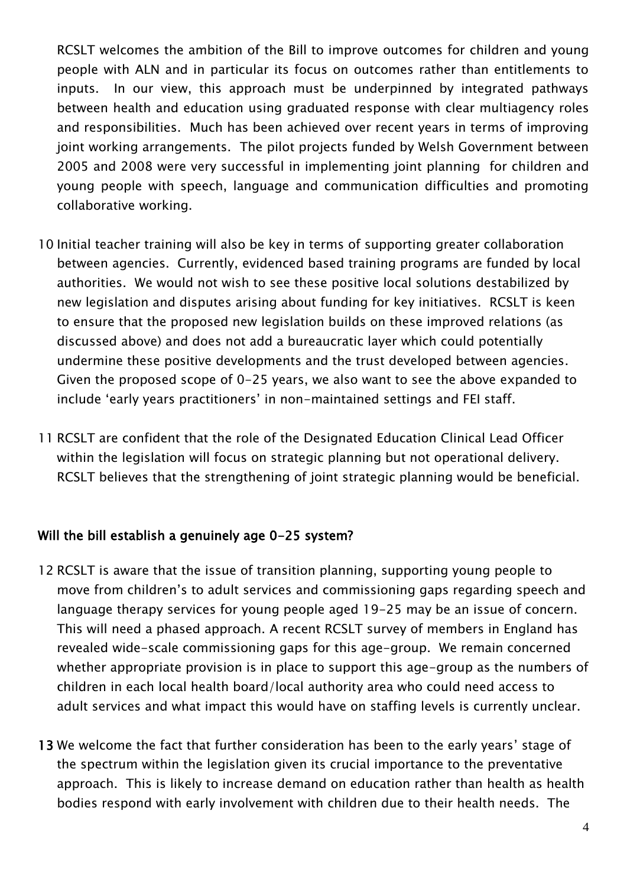RCSLT welcomes the ambition of the Bill to improve outcomes for children and young people with ALN and in particular its focus on outcomes rather than entitlements to inputs. In our view, this approach must be underpinned by integrated pathways between health and education using graduated response with clear multiagency roles and responsibilities. Much has been achieved over recent years in terms of improving joint working arrangements. The pilot projects funded by Welsh Government between 2005 and 2008 were very successful in implementing joint planning for children and young people with speech, language and communication difficulties and promoting collaborative working.

- 10 Initial teacher training will also be key in terms of supporting greater collaboration between agencies. Currently, evidenced based training programs are funded by local authorities. We would not wish to see these positive local solutions destabilized by new legislation and disputes arising about funding for key initiatives. RCSLT is keen to ensure that the proposed new legislation builds on these improved relations (as discussed above) and does not add a bureaucratic layer which could potentially undermine these positive developments and the trust developed between agencies. Given the proposed scope of 0-25 years, we also want to see the above expanded to include 'early years practitioners' in non-maintained settings and FEI staff.
- 11 RCSLT are confident that the role of the Designated Education Clinical Lead Officer within the legislation will focus on strategic planning but not operational delivery. RCSLT believes that the strengthening of joint strategic planning would be beneficial.

#### Will the bill establish a genuinely age 0-25 system?

- 12 RCSLT is aware that the issue of transition planning, supporting young people to move from children's to adult services and commissioning gaps regarding speech and language therapy services for young people aged 19-25 may be an issue of concern. This will need a phased approach. A recent RCSLT survey of members in England has revealed wide-scale commissioning gaps for this age-group. We remain concerned whether appropriate provision is in place to support this age-group as the numbers of children in each local health board/local authority area who could need access to adult services and what impact this would have on staffing levels is currently unclear.
- 13 We welcome the fact that further consideration has been to the early years' stage of the spectrum within the legislation given its crucial importance to the preventative approach. This is likely to increase demand on education rather than health as health bodies respond with early involvement with children due to their health needs. The